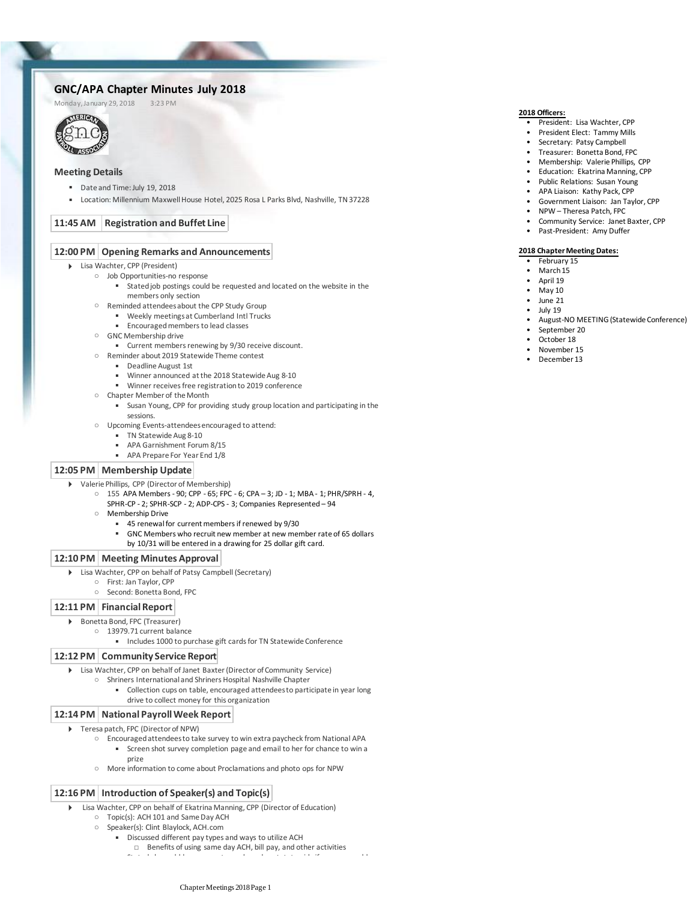# GNC/APA Chapter Minutes July 2018

Monday, January 29, 2018



# **Meeting Details**

- Date and Time: July 19, 2018
- Location: Millennium Maxwell House Hotel, 2025 Rosa L Parks Blvd, Nashville, TN 37228

# **11:45 AM Registration and Buffet Line**

#### **12:00 PM Opening Remarks and Announcements**

#### Lisa Wachter, CPP (President)

- Job Opportunities-no response
	- Stated job postings could be requested and located on the website in the members only section
- Reminded attendees about the CPP Study Group
	- Weekly meetings at Cumberland Intl Trucks
		- Encouraged members to lead classes
- GNC Membership drive
	- Current members renewing by 9/30 receive discount.
- Reminder about 2019 Statewide Theme contest
	- Deadline August 1st
		- Winner announced at the 2018 Statewide Aug 8-10
		- Winner receives free registration to 2019 conference
- Chapter Member of the Month
	- Susan Young, CPP for providing study group location and participating in the sessions.
- Upcoming Events-attendees encouraged to attend:
	- TN Statewide Aug 8-10
	- APA Garnishment Forum 8/15
	- APA Prepare For Year End 1/8

#### **12:05 PM Membership Update**

▪

- Valerie Phillips, CPP (Director of Membership)
	- 155 APA Members 90; CPP 65; FPC 6; CPA 3; JD 1; MBA 1; PHR/SPRH 4, SPHR-CP - 2; SPHR-SCP - 2; ADP-CPS - 3; Companies Represented – 94
	-
	- Membership Drive
		- 45 renewal for current members if renewed by 9/30
		- GNC Members who recruit new member at new member rate of 65 dollars
		- by 10/31 will be entered in a drawing for 25 dollar gift card.

### **12:10 PM Meeting Minutes Approval**

- Lisa Wachter, CPP on behalf of Patsy Campbell (Secretary)
	- First: Jan Taylor, CPP
	- Second: Bonetta Bond, FPC

## **12:11 PM Financial Report**

- Bonetta Bond, FPC (Treasurer)
	- 13979.71 current balance
		- Includes 1000 to purchase gift cards for TN Statewide Conference

## **12:12 PM Community Service Report**

- Lisa Wachter, CPP on behalf of Janet Baxter (Director of Community Service)
	- Shriners International and Shriners Hospital Nashville Chapter
		- Collection cups on table, encouraged attendees to participate in year long drive to collect money for this organization
- **12:14 PM National Payroll Week Report**
- Teresa patch, FPC (Director of NPW)
	- Screen shot survey completion page and email to her for chance to win a prize ○ Encouraged attendees to take survey to win extra paycheck from National APA
	- More information to come about Proclamations and photo ops for NPW

# **12:16 PM Introduction of Speaker(s) and Topic(s)**

- Lisa Wachter, CPP on behalf of Ekatrina Manning, CPP (Director of Education)
	- Topic(s): ACH 101 and Same Day ACH
	- Speaker(s): Clint Blaylock, ACH.com
		- Discussed different pay types and ways to utilize ACH
			- □ Benefits of using same day ACH, bill pay, and other activities
		- Stated eh would be a presenter and vendor at statewide if anyone would

## **2018 Officers:**

- President: Lisa Wachter, CPP
- President Elect: Tammy Mills
- Secretary: Patsy Campbell
- Treasurer: Bonetta Bond, FPC
- Membership: Valerie Phillips, CPP
- Education: Ekatrina Manning, CPP
- Public Relations: Susan Young
- APA Liaison: Kathy Pack, CPP
- Government Liaison: Jan Taylor, CPP
- NPW Theresa Patch, FPC
- Community Service: Janet Baxter, CPP
- Past-President: Amy Duffer

#### **2018 Chapter Meeting Dates:**

- February 15
- March 15
- April 19
- May 10
- June 21
- July 19
- August-NO MEETING (Statewide Conference)
- September 20
- October 18
- November 15
- December 13